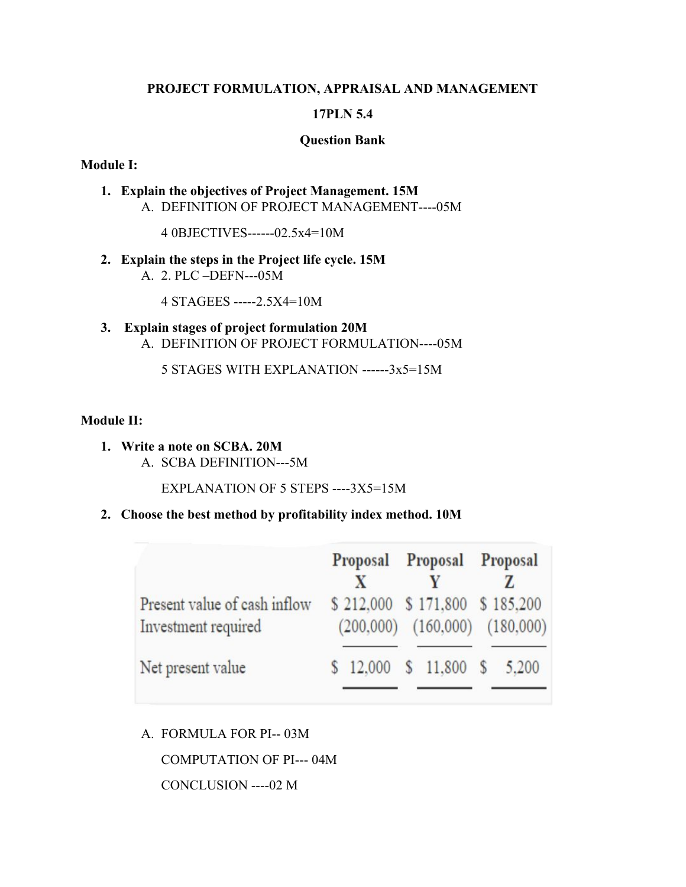#### **PROJECT FORMULATION, APPRAISAL AND MANAGEMENT**

# **17PLN 5.4**

#### **Question Bank**

#### **Module I:**

**1. Explain the objectives of Project Management. 15M** A. DEFINITION OF PROJECT MANAGEMENT----05M

4 0BJECTIVES------02.5x4=10M

**2. Explain the steps in the Project life cycle. 15M** A. 2. PLC –DEFN---05M

4 STAGEES -----2.5X4=10M

**3. Explain stages of project formulation 20M** A. DEFINITION OF PROJECT FORMULATION----05M

5 STAGES WITH EXPLANATION ------3x5=15M

# **Module II:**

**1. Write a note on SCBA. 20M** A. SCBA DEFINITION---5M

EXPLANATION OF 5 STEPS ----3X5=15M

**2. Choose the best method by profitability index method. 10M**

|                                                     | Proposal Proposal Proposal<br>X                                      |  |  |
|-----------------------------------------------------|----------------------------------------------------------------------|--|--|
| Present value of cash inflow<br>Investment required | \$212,000 \$171,800 \$185,200<br>$(200,000)$ $(160,000)$ $(180,000)$ |  |  |
| Net present value                                   | \$12,000 \$11,800 \$5,200                                            |  |  |

A. FORMULA FOR PI-- 03M

COMPUTATION OF PI--- 04M

CONCLUSION ----02 M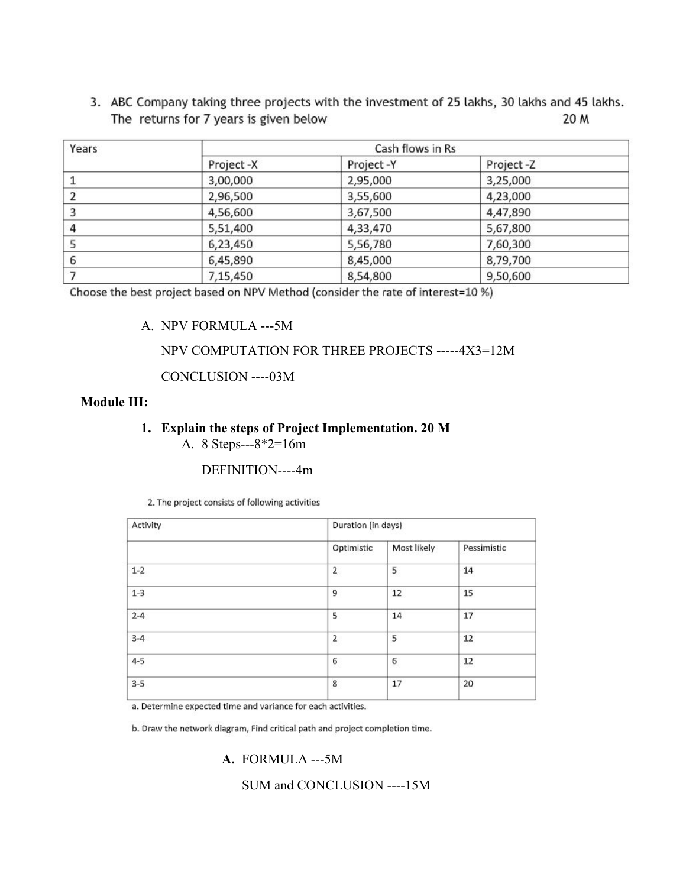3. ABC Company taking three projects with the investment of 25 lakhs, 30 lakhs and 45 lakhs. The returns for 7 years is given below 20 M

| Years | Cash flows in Rs |           |           |  |  |  |
|-------|------------------|-----------|-----------|--|--|--|
|       | Project -X       | Project-Y | Project-Z |  |  |  |
|       | 3,00,000         | 2,95,000  | 3,25,000  |  |  |  |
|       | 2,96,500         | 3,55,600  | 4,23,000  |  |  |  |
| 3     | 4,56,600         | 3,67,500  | 4,47,890  |  |  |  |
| 4     | 5,51,400         | 4,33,470  | 5,67,800  |  |  |  |
|       | 6,23,450         | 5,56,780  | 7,60,300  |  |  |  |
| 6     | 6,45,890         | 8,45,000  | 8,79,700  |  |  |  |
|       | 7,15,450         | 8,54,800  | 9,50,600  |  |  |  |

Choose the best project based on NPV Method (consider the rate of interest=10 %)

# A. NPV FORMULA ---5M

# NPV COMPUTATION FOR THREE PROJECTS -----4X3=12M

CONCLUSION ----03M

#### **Module III:**

# **1. Explain the steps of Project Implementation. 20 M**

A. 8 Steps---8\*2=16m

#### DEFINITION----4m

2. The project consists of following activities

| Activity | Duration (in days)      |             |             |  |  |
|----------|-------------------------|-------------|-------------|--|--|
|          | Optimistic              | Most likely | Pessimistic |  |  |
| $1 - 2$  | $\overline{\mathbf{c}}$ | 5           | 14          |  |  |
| $1-3$    | 9                       | 12          | 15          |  |  |
| $2 - 4$  | 5                       | 14          | 17          |  |  |
| $3-4$    | 2<br>92                 | 5           | 12          |  |  |
| $4 - 5$  | 6                       | 6           | 12<br>- 75  |  |  |
| $3 - 5$  | 8                       | 17          | 20          |  |  |
|          |                         |             |             |  |  |

a. Determine expected time and variance for each activities.

b. Draw the network diagram, Find critical path and project completion time.

**A.** FORMULA ---5M

SUM and CONCLUSION ----15M